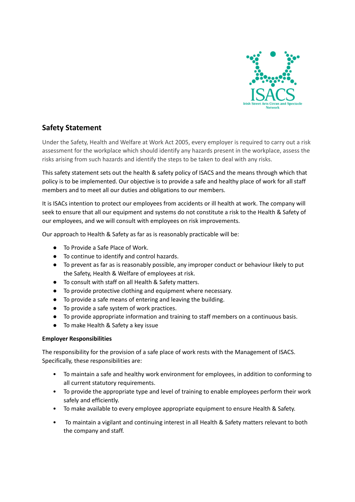

# **Safety Statement**

Under the Safety, Health and Welfare at Work Act 2005, every employer is required to carry out a risk assessment for the workplace which should identify any hazards present in the workplace, assess the risks arising from such hazards and identify the steps to be taken to deal with any risks.

This safety statement sets out the health & safety policy of ISACS and the means through which that policy is to be implemented. Our objective is to provide a safe and healthy place of work for all staff members and to meet all our duties and obligations to our members.

It is ISACs intention to protect our employees from accidents or ill health at work. The company will seek to ensure that all our equipment and systems do not constitute a risk to the Health & Safety of our employees, and we will consult with employees on risk improvements.

Our approach to Health & Safety as far as is reasonably practicable will be:

- To Provide a Safe Place of Work.
- To continue to identify and control hazards.
- To prevent as far as is reasonably possible, any improper conduct or behaviour likely to put the Safety, Health & Welfare of employees at risk.
- To consult with staff on all Health & Safety matters.
- To provide protective clothing and equipment where necessary.
- To provide a safe means of entering and leaving the building.
- To provide a safe system of work practices.
- To provide appropriate information and training to staff members on a continuous basis.
- To make Health & Safety a key issue

# **Employer Responsibilities**

The responsibility for the provision of a safe place of work rests with the Management of ISACS. Specifically, these responsibilities are:

- To maintain a safe and healthy work environment for employees, in addition to conforming to all current statutory requirements.
- To provide the appropriate type and level of training to enable employees perform their work safely and efficiently.
- To make available to every employee appropriate equipment to ensure Health & Safety.
- To maintain a vigilant and continuing interest in all Health & Safety matters relevant to both the company and staff.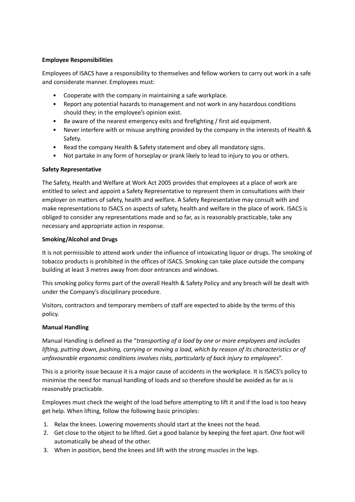## **Employee Responsibilities**

Employees of ISACS have a responsibility to themselves and fellow workers to carry out work in a safe and considerate manner. Employees must:

- Cooperate with the company in maintaining a safe workplace.
- Report any potential hazards to management and not work in any hazardous conditions should they; in the employee's opinion exist.
- Be aware of the nearest emergency exits and firefighting / first aid equipment.
- Never interfere with or misuse anything provided by the company in the interests of Health & Safety.
- Read the company Health & Safety statement and obey all mandatory signs.
- Not partake in any form of horseplay or prank likely to lead to injury to you or others.

# **Safety Representative**

The Safety, Health and Welfare at Work Act 2005 provides that employees at a place of work are entitled to select and appoint a Safety Representative to represent them in consultations with their employer on matters of safety, health and welfare. A Safety Representative may consult with and make representations to ISACS on aspects of safety, health and welfare in the place of work. ISACS is obliged to consider any representations made and so far, as is reasonably practicable, take any necessary and appropriate action in response.

### **Smoking/Alcohol and Drugs**

It is not permissible to attend work under the influence of intoxicating liquor or drugs. The smoking of tobacco products is prohibited in the offices of ISACS. Smoking can take place outside the company building at least 3 metres away from door entrances and windows.

This smoking policy forms part of the overall Health & Safety Policy and any breach will be dealt with under the Company's disciplinary procedure.

Visitors, contractors and temporary members of staff are expected to abide by the terms of this policy.

# **Manual Handling**

Manual Handling is defined as the "*transporting of a load by one or more employees and includes lifting, putting down, pushing, carrying or moving a load, which by reason of its characteristics or of unfavourable ergonomic conditions involves risks, particularly of back injury to employees*".

This is a priority issue because it is a major cause of accidents in the workplace. It is ISACS's policy to minimise the need for manual handling of loads and so therefore should be avoided as far as is reasonably practicable.

Employees must check the weight of the load before attempting to lift it and if the load is too heavy get help. When lifting, follow the following basic principles:

- 1. Relax the knees. Lowering movements should start at the knees not the head.
- 2. Get close to the object to be lifted. Get a good balance by keeping the feet apart. One foot will automatically be ahead of the other.
- 3. When in position, bend the knees and lift with the strong muscles in the legs.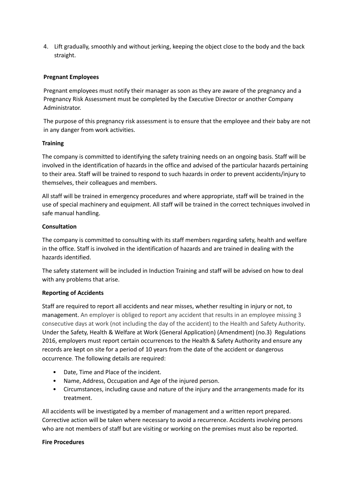4. Lift gradually, smoothly and without jerking, keeping the object close to the body and the back straight.

## **Pregnant Employees**

Pregnant employees must notify their manager as soon as they are aware of the pregnancy and a Pregnancy Risk Assessment must be completed by the Executive Director or another Company Administrator.

The purpose of this pregnancy risk assessment is to ensure that the employee and their baby are not in any danger from work activities.

### **Training**

The company is committed to identifying the safety training needs on an ongoing basis. Staff will be involved in the identification of hazards in the office and advised of the particular hazards pertaining to their area. Staff will be trained to respond to such hazards in order to prevent accidents/injury to themselves, their colleagues and members.

All staff will be trained in emergency procedures and where appropriate, staff will be trained in the use of special machinery and equipment. All staff will be trained in the correct techniques involved in safe manual handling.

### **Consultation**

The company is committed to consulting with its staff members regarding safety, health and welfare in the office. Staff is involved in the identification of hazards and are trained in dealing with the hazards identified.

The safety statement will be included in Induction Training and staff will be advised on how to deal with any problems that arise.

# **Reporting of Accidents**

Staff are required to report all accidents and near misses, whether resulting in injury or not, to management. An employer is obliged to report any accident that results in an employee missing 3 consecutive days at work (not including the day of the accident) to the Health and Safety Authority. Under the Safety, Health & Welfare at Work (General Application) (Amendment) (no.3) Regulations 2016, employers must report certain occurrences to the Health & Safety Authority and ensure any records are kept on site for a period of 10 years from the date of the accident or dangerous occurrence. The following details are required:

- Date, Time and Place of the incident.
- Name, Address, Occupation and Age of the injured person.
- Circumstances, including cause and nature of the injury and the arrangements made for its treatment.

All accidents will be investigated by a member of management and a written report prepared. Corrective action will be taken where necessary to avoid a recurrence. Accidents involving persons who are not members of staff but are visiting or working on the premises must also be reported.

#### **Fire Procedures**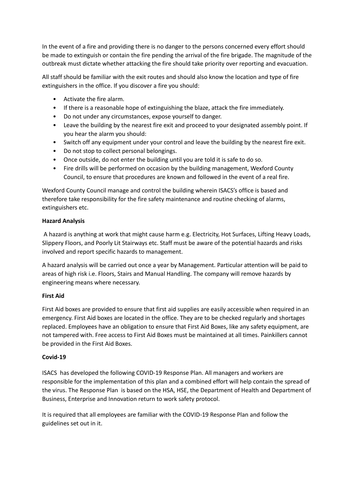In the event of a fire and providing there is no danger to the persons concerned every effort should be made to extinguish or contain the fire pending the arrival of the fire brigade. The magnitude of the outbreak must dictate whether attacking the fire should take priority over reporting and evacuation.

All staff should be familiar with the exit routes and should also know the location and type of fire extinguishers in the office. If you discover a fire you should:

- Activate the fire alarm.
- If there is a reasonable hope of extinguishing the blaze, attack the fire immediately.
- Do not under any circumstances, expose yourself to danger.
- Leave the building by the nearest fire exit and proceed to your designated assembly point. If you hear the alarm you should:
- Switch off any equipment under your control and leave the building by the nearest fire exit.
- Do not stop to collect personal belongings.
- Once outside, do not enter the building until you are told it is safe to do so.
- Fire drills will be performed on occasion by the building management, Wexford County Council, to ensure that procedures are known and followed in the event of a real fire.

Wexford County Council manage and control the building wherein ISACS's office is based and therefore take responsibility for the fire safety maintenance and routine checking of alarms, extinguishers etc.

# **Hazard Analysis**

A hazard is anything at work that might cause harm e.g. Electricity, Hot Surfaces, Lifting Heavy Loads, Slippery Floors, and Poorly Lit Stairways etc. Staff must be aware of the potential hazards and risks involved and report specific hazards to management.

A hazard analysis will be carried out once a year by Management. Particular attention will be paid to areas of high risk i.e. Floors, Stairs and Manual Handling. The company will remove hazards by engineering means where necessary.

# **First Aid**

First Aid boxes are provided to ensure that first aid supplies are easily accessible when required in an emergency. First Aid boxes are located in the office. They are to be checked regularly and shortages replaced. Employees have an obligation to ensure that First Aid Boxes, like any safety equipment, are not tampered with. Free access to First Aid Boxes must be maintained at all times. Painkillers cannot be provided in the First Aid Boxes.

#### **Covid-19**

ISACS has developed the following COVID-19 Response Plan. All managers and workers are responsible for the implementation of this plan and a combined effort will help contain the spread of the virus. The Response Plan is based on the HSA, HSE, the Department of Health and Department of Business, Enterprise and Innovation return to work safety protocol.

It is required that all employees are familiar with the COVID-19 Response Plan and follow the guidelines set out in it.